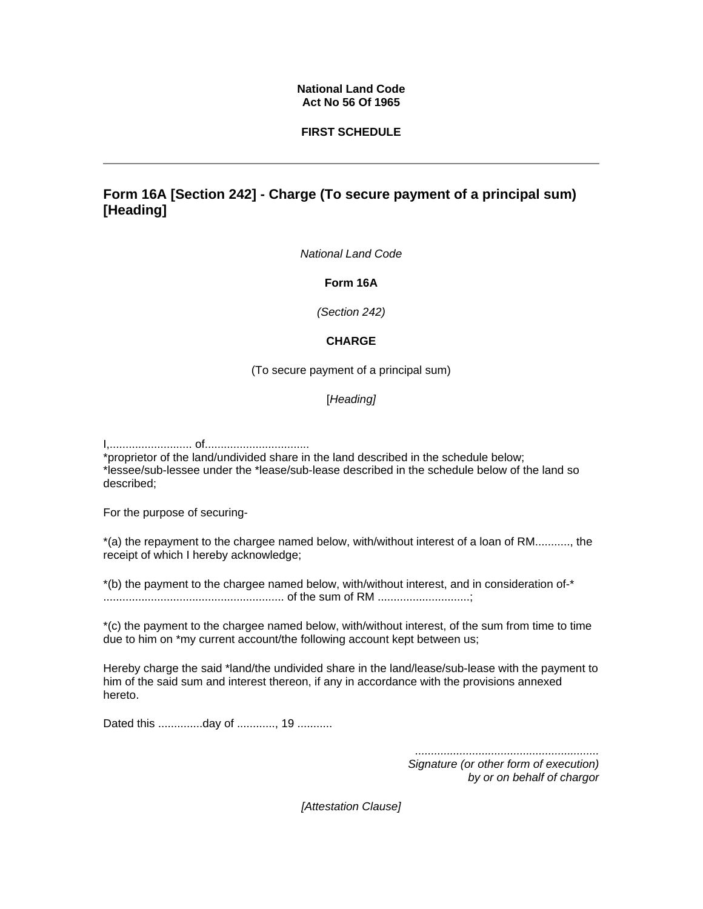#### **National Land Code Act No 56 Of 1965**

#### **FIRST SCHEDULE**

# **Form 16A [Section 242] - Charge (To secure payment of a principal sum) [Heading]**

*National Land Code*

**Form 16A**

*(Section 242)* 

### **CHARGE**

(To secure payment of a principal sum)

### [*Heading]*

I,.......................... of.................................

\*proprietor of the land/undivided share in the land described in the schedule below; \*lessee/sub-lessee under the \*lease/sub-lease described in the schedule below of the land so described;

For the purpose of securing-

\*(a) the repayment to the chargee named below, with/without interest of a loan of RM..........., the receipt of which I hereby acknowledge;

\*(b) the payment to the chargee named below, with/without interest, and in consideration of-\* ......................................................... of the sum of RM .............................;

\*(c) the payment to the chargee named below, with/without interest, of the sum from time to time due to him on \*my current account/the following account kept between us;

Hereby charge the said \*land/the undivided share in the land/lease/sub-lease with the payment to him of the said sum and interest thereon, if any in accordance with the provisions annexed hereto.

Dated this ..............day of ............, 19 ...........

*.......................................................... Signature (or other form of execution) by or on behalf of chargor* 

*[Attestation Clause]*